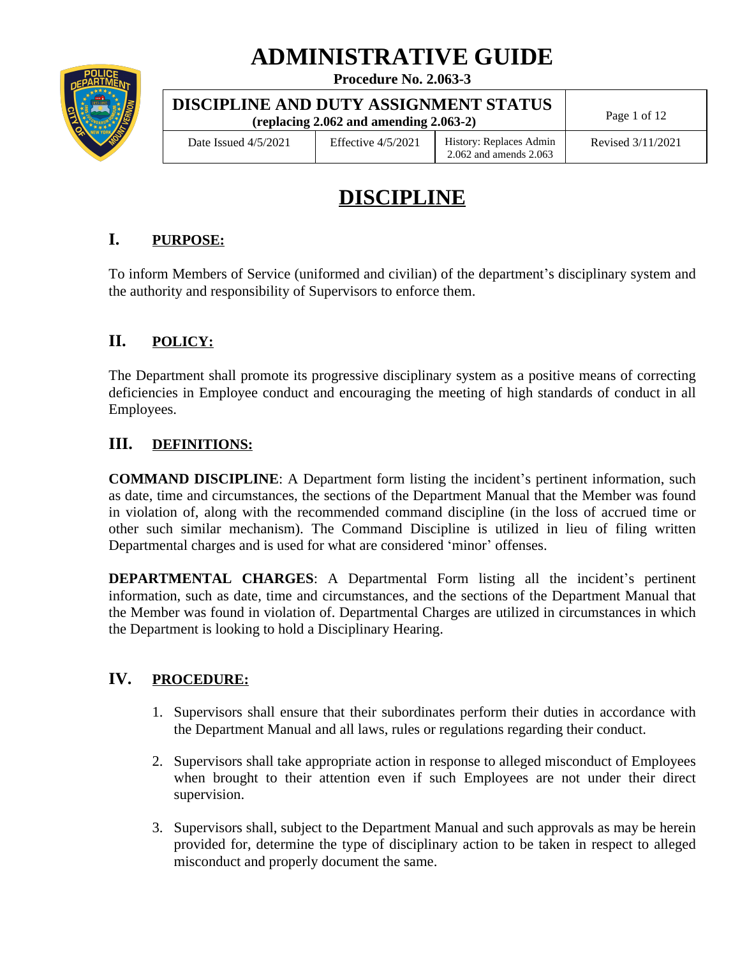# **ADMINISTRATIVE GUIDE**

| POLICE<br>DEPARTMENT  |  |
|-----------------------|--|
| ≵:<br>œ۴<br>1853-1892 |  |
|                       |  |
| <b>NEW YORK</b>       |  |
|                       |  |

## **Procedure No. 2.063-3**

| DISCIPLINE AND DUTY ASSIGNMENT STATUS<br>(replacing $2.062$ and amending $2.063-2$ ) |                      |                                                       | Page 1 of 12      |
|--------------------------------------------------------------------------------------|----------------------|-------------------------------------------------------|-------------------|
| Date Issued $4/5/2021$                                                               | Effective $4/5/2021$ | History: Replaces Admin<br>$2.062$ and amends $2.063$ | Revised 3/11/2021 |

**DISCUSS AND OUTPUTY ASSIGNMENT STATUS ASSIGNMENT STATUS ASSIGNMENT STATUS ASSIGNMENT STATUS ASSIGNMENT STATUS A** 

# **DISCIPLINE**

# **I. PURPOSE:**

To inform Members of Service (uniformed and civilian) of the department's disciplinary system and the authority and responsibility of Supervisors to enforce them.

# **II. POLICY:**

The Department shall promote its progressive disciplinary system as a positive means of correcting deficiencies in Employee conduct and encouraging the meeting of high standards of conduct in all Employees.

# **III. DEFINITIONS:**

**COMMAND DISCIPLINE**: A Department form listing the incident's pertinent information, such as date, time and circumstances, the sections of the Department Manual that the Member was found in violation of, along with the recommended command discipline (in the loss of accrued time or other such similar mechanism). The Command Discipline is utilized in lieu of filing written Departmental charges and is used for what are considered 'minor' offenses.

**DEPARTMENTAL CHARGES**: A Departmental Form listing all the incident's pertinent information, such as date, time and circumstances, and the sections of the Department Manual that the Member was found in violation of. Departmental Charges are utilized in circumstances in which the Department is looking to hold a Disciplinary Hearing.

# **IV. PROCEDURE:**

- 1. Supervisors shall ensure that their subordinates perform their duties in accordance with the Department Manual and all laws, rules or regulations regarding their conduct.
- 2. Supervisors shall take appropriate action in response to alleged misconduct of Employees when brought to their attention even if such Employees are not under their direct supervision.
- 3. Supervisors shall, subject to the Department Manual and such approvals as may be herein provided for, determine the type of disciplinary action to be taken in respect to alleged misconduct and properly document the same.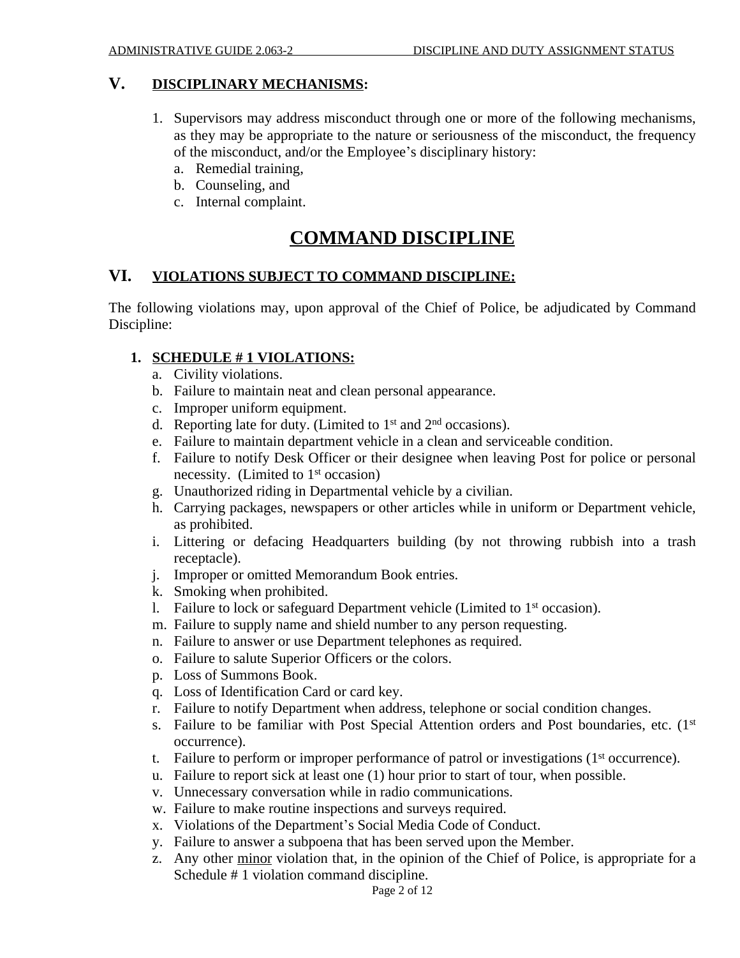#### **V. DISCIPLINARY MECHANISMS:**

- 1. Supervisors may address misconduct through one or more of the following mechanisms, as they may be appropriate to the nature or seriousness of the misconduct, the frequency of the misconduct, and/or the Employee's disciplinary history:
	- a. Remedial training,
	- b. Counseling, and
	- c. Internal complaint.

# **COMMAND DISCIPLINE**

# **VI. VIOLATIONS SUBJECT TO COMMAND DISCIPLINE:**

The following violations may, upon approval of the Chief of Police, be adjudicated by Command Discipline:

#### **1. SCHEDULE # 1 VIOLATIONS:**

- a. Civility violations.
- b. Failure to maintain neat and clean personal appearance.
- c. Improper uniform equipment.
- d. Reporting late for duty. (Limited to  $1<sup>st</sup>$  and  $2<sup>nd</sup>$  occasions).
- e. Failure to maintain department vehicle in a clean and serviceable condition.
- f. Failure to notify Desk Officer or their designee when leaving Post for police or personal necessity. (Limited to 1<sup>st</sup> occasion)
- g. Unauthorized riding in Departmental vehicle by a civilian.
- h. Carrying packages, newspapers or other articles while in uniform or Department vehicle, as prohibited.
- i. Littering or defacing Headquarters building (by not throwing rubbish into a trash receptacle).
- j. Improper or omitted Memorandum Book entries.
- k. Smoking when prohibited.
- 1. Failure to lock or safeguard Department vehicle (Limited to 1<sup>st</sup> occasion).
- m. Failure to supply name and shield number to any person requesting.
- n. Failure to answer or use Department telephones as required.
- o. Failure to salute Superior Officers or the colors.
- p. Loss of Summons Book.
- q. Loss of Identification Card or card key.
- r. Failure to notify Department when address, telephone or social condition changes.
- s. Failure to be familiar with Post Special Attention orders and Post boundaries, etc. (1st occurrence).
- t. Failure to perform or improper performance of patrol or investigations (1<sup>st</sup> occurrence).
- u. Failure to report sick at least one (1) hour prior to start of tour, when possible.
- v. Unnecessary conversation while in radio communications.
- w. Failure to make routine inspections and surveys required.
- x. Violations of the Department's Social Media Code of Conduct.
- y. Failure to answer a subpoena that has been served upon the Member.
- z. Any other minor violation that, in the opinion of the Chief of Police, is appropriate for a Schedule # 1 violation command discipline.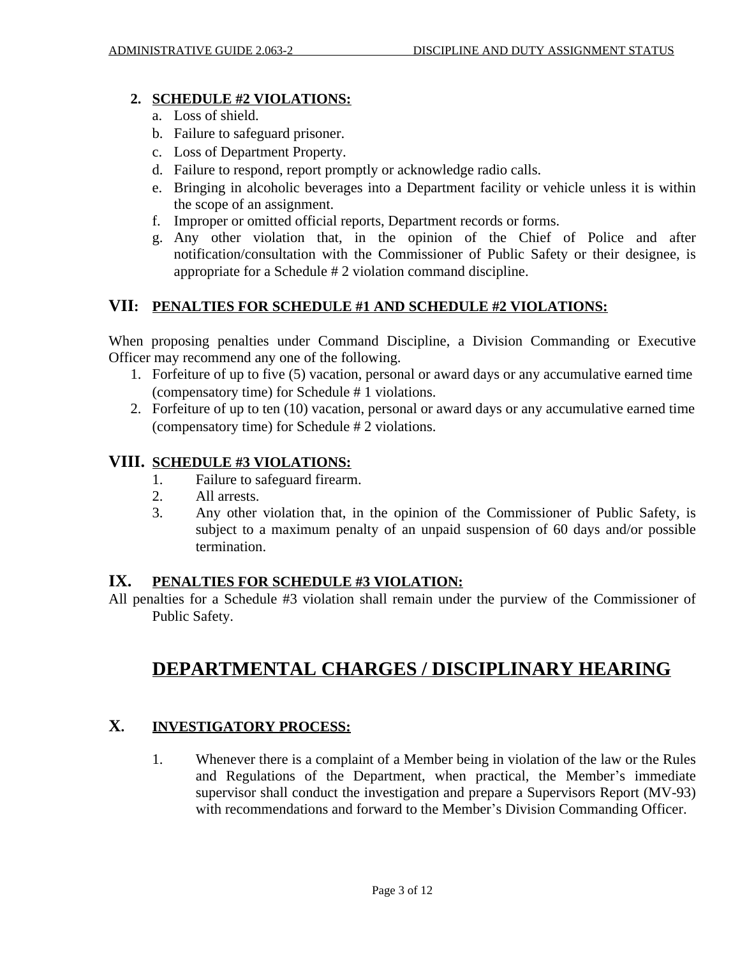#### **2. SCHEDULE #2 VIOLATIONS:**

- a. Loss of shield.
- b. Failure to safeguard prisoner.
- c. Loss of Department Property.
- d. Failure to respond, report promptly or acknowledge radio calls.
- e. Bringing in alcoholic beverages into a Department facility or vehicle unless it is within the scope of an assignment.
- f. Improper or omitted official reports, Department records or forms.
- g. Any other violation that, in the opinion of the Chief of Police and after notification/consultation with the Commissioner of Public Safety or their designee, is appropriate for a Schedule # 2 violation command discipline.

# **VII: PENALTIES FOR SCHEDULE #1 AND SCHEDULE #2 VIOLATIONS:**

When proposing penalties under Command Discipline, a Division Commanding or Executive Officer may recommend any one of the following.

- 1. Forfeiture of up to five (5) vacation, personal or award days or any accumulative earned time (compensatory time) for Schedule # 1 violations.
- 2. Forfeiture of up to ten (10) vacation, personal or award days or any accumulative earned time (compensatory time) for Schedule # 2 violations.

# **VIII. SCHEDULE #3 VIOLATIONS:**

- 1. Failure to safeguard firearm.
- 2. All arrests.
- 3. Any other violation that, in the opinion of the Commissioner of Public Safety, is subject to a maximum penalty of an unpaid suspension of 60 days and/or possible termination.

### **IX. PENALTIES FOR SCHEDULE #3 VIOLATION:**

All penalties for a Schedule #3 violation shall remain under the purview of the Commissioner of Public Safety.

# **DEPARTMENTAL CHARGES / DISCIPLINARY HEARING**

# **X. INVESTIGATORY PROCESS:**

1. Whenever there is a complaint of a Member being in violation of the law or the Rules and Regulations of the Department, when practical, the Member's immediate supervisor shall conduct the investigation and prepare a Supervisors Report (MV-93) with recommendations and forward to the Member's Division Commanding Officer.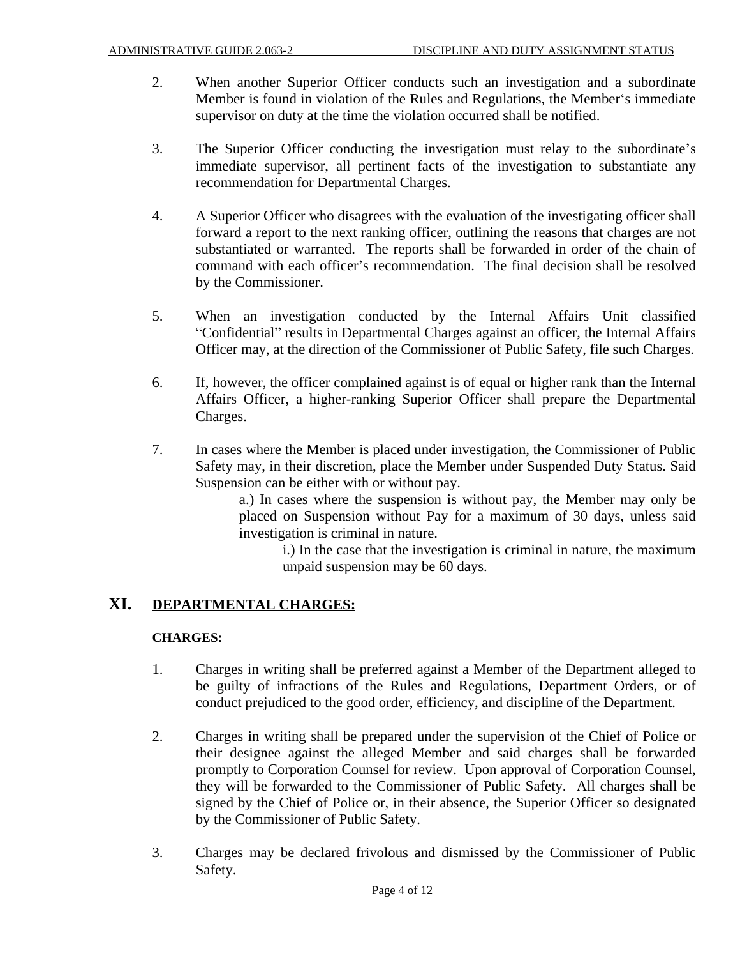- 2. When another Superior Officer conducts such an investigation and a subordinate Member is found in violation of the Rules and Regulations, the Member's immediate supervisor on duty at the time the violation occurred shall be notified.
- 3. The Superior Officer conducting the investigation must relay to the subordinate's immediate supervisor, all pertinent facts of the investigation to substantiate any recommendation for Departmental Charges.
- 4. A Superior Officer who disagrees with the evaluation of the investigating officer shall forward a report to the next ranking officer, outlining the reasons that charges are not substantiated or warranted. The reports shall be forwarded in order of the chain of command with each officer's recommendation. The final decision shall be resolved by the Commissioner.
- 5. When an investigation conducted by the Internal Affairs Unit classified "Confidential" results in Departmental Charges against an officer, the Internal Affairs Officer may, at the direction of the Commissioner of Public Safety, file such Charges.
- 6. If, however, the officer complained against is of equal or higher rank than the Internal Affairs Officer, a higher-ranking Superior Officer shall prepare the Departmental Charges.
- 7. In cases where the Member is placed under investigation, the Commissioner of Public Safety may, in their discretion, place the Member under Suspended Duty Status. Said Suspension can be either with or without pay.

a.) In cases where the suspension is without pay, the Member may only be placed on Suspension without Pay for a maximum of 30 days, unless said investigation is criminal in nature.

i.) In the case that the investigation is criminal in nature, the maximum unpaid suspension may be 60 days.

### **XI. DEPARTMENTAL CHARGES:**

#### **CHARGES:**

- 1. Charges in writing shall be preferred against a Member of the Department alleged to be guilty of infractions of the Rules and Regulations, Department Orders, or of conduct prejudiced to the good order, efficiency, and discipline of the Department.
- 2. Charges in writing shall be prepared under the supervision of the Chief of Police or their designee against the alleged Member and said charges shall be forwarded promptly to Corporation Counsel for review. Upon approval of Corporation Counsel, they will be forwarded to the Commissioner of Public Safety. All charges shall be signed by the Chief of Police or, in their absence, the Superior Officer so designated by the Commissioner of Public Safety.
- 3. Charges may be declared frivolous and dismissed by the Commissioner of Public Safety.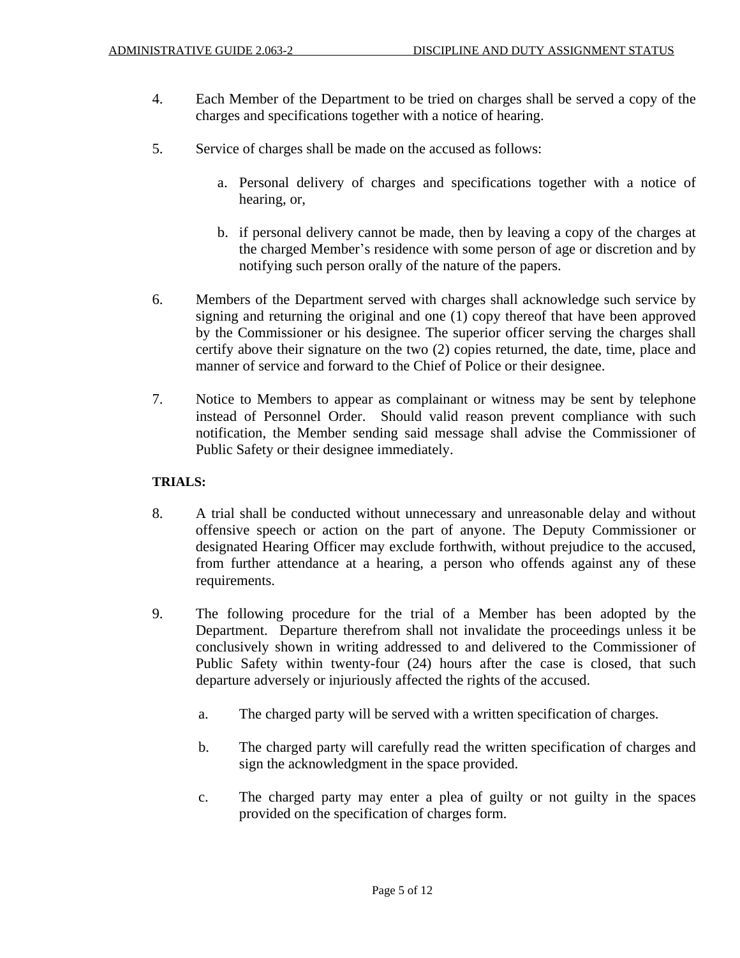- 4. Each Member of the Department to be tried on charges shall be served a copy of the charges and specifications together with a notice of hearing.
- 5. Service of charges shall be made on the accused as follows:
	- a. Personal delivery of charges and specifications together with a notice of hearing, or,
	- b. if personal delivery cannot be made, then by leaving a copy of the charges at the charged Member's residence with some person of age or discretion and by notifying such person orally of the nature of the papers.
- 6. Members of the Department served with charges shall acknowledge such service by signing and returning the original and one (1) copy thereof that have been approved by the Commissioner or his designee. The superior officer serving the charges shall certify above their signature on the two (2) copies returned, the date, time, place and manner of service and forward to the Chief of Police or their designee.
- 7. Notice to Members to appear as complainant or witness may be sent by telephone instead of Personnel Order. Should valid reason prevent compliance with such notification, the Member sending said message shall advise the Commissioner of Public Safety or their designee immediately.

#### **TRIALS:**

- 8. A trial shall be conducted without unnecessary and unreasonable delay and without offensive speech or action on the part of anyone. The Deputy Commissioner or designated Hearing Officer may exclude forthwith, without prejudice to the accused, from further attendance at a hearing, a person who offends against any of these requirements.
- 9. The following procedure for the trial of a Member has been adopted by the Department. Departure therefrom shall not invalidate the proceedings unless it be conclusively shown in writing addressed to and delivered to the Commissioner of Public Safety within twenty-four (24) hours after the case is closed, that such departure adversely or injuriously affected the rights of the accused.
	- a. The charged party will be served with a written specification of charges.
	- b. The charged party will carefully read the written specification of charges and sign the acknowledgment in the space provided.
	- c. The charged party may enter a plea of guilty or not guilty in the spaces provided on the specification of charges form.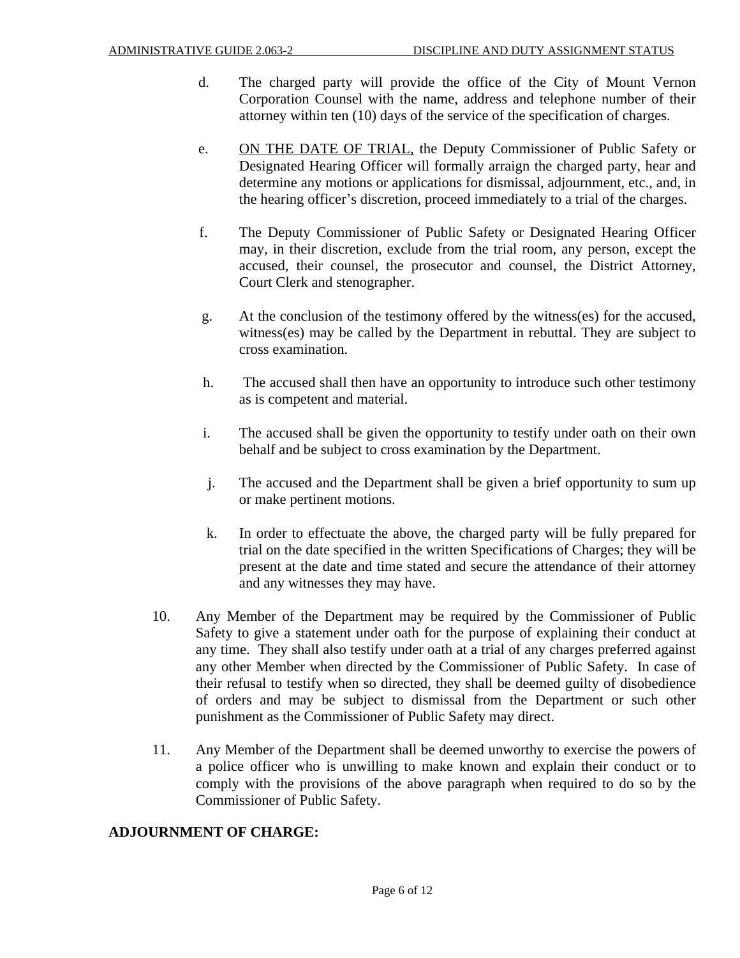- d. The charged party will provide the office of the City of Mount Vernon Corporation Counsel with the name, address and telephone number of their attorney within ten (10) days of the service of the specification of charges.
- e. ON THE DATE OF TRIAL, the Deputy Commissioner of Public Safety or Designated Hearing Officer will formally arraign the charged party, hear and determine any motions or applications for dismissal, adjournment, etc., and, in the hearing officer's discretion, proceed immediately to a trial of the charges.
- f. The Deputy Commissioner of Public Safety or Designated Hearing Officer may, in their discretion, exclude from the trial room, any person, except the accused, their counsel, the prosecutor and counsel, the District Attorney, Court Clerk and stenographer.
- g. At the conclusion of the testimony offered by the witness(es) for the accused, witness(es) may be called by the Department in rebuttal. They are subject to cross examination.
- h. The accused shall then have an opportunity to introduce such other testimony as is competent and material.
- i. The accused shall be given the opportunity to testify under oath on their own behalf and be subject to cross examination by the Department.
- j. The accused and the Department shall be given a brief opportunity to sum up or make pertinent motions.
- k. In order to effectuate the above, the charged party will be fully prepared for trial on the date specified in the written Specifications of Charges; they will be present at the date and time stated and secure the attendance of their attorney and any witnesses they may have.
- 10. Any Member of the Department may be required by the Commissioner of Public Safety to give a statement under oath for the purpose of explaining their conduct at any time. They shall also testify under oath at a trial of any charges preferred against any other Member when directed by the Commissioner of Public Safety. In case of their refusal to testify when so directed, they shall be deemed guilty of disobedience of orders and may be subject to dismissal from the Department or such other punishment as the Commissioner of Public Safety may direct.
- 11. Any Member of the Department shall be deemed unworthy to exercise the powers of a police officer who is unwilling to make known and explain their conduct or to comply with the provisions of the above paragraph when required to do so by the Commissioner of Public Safety.

#### **ADJOURNMENT OF CHARGE:**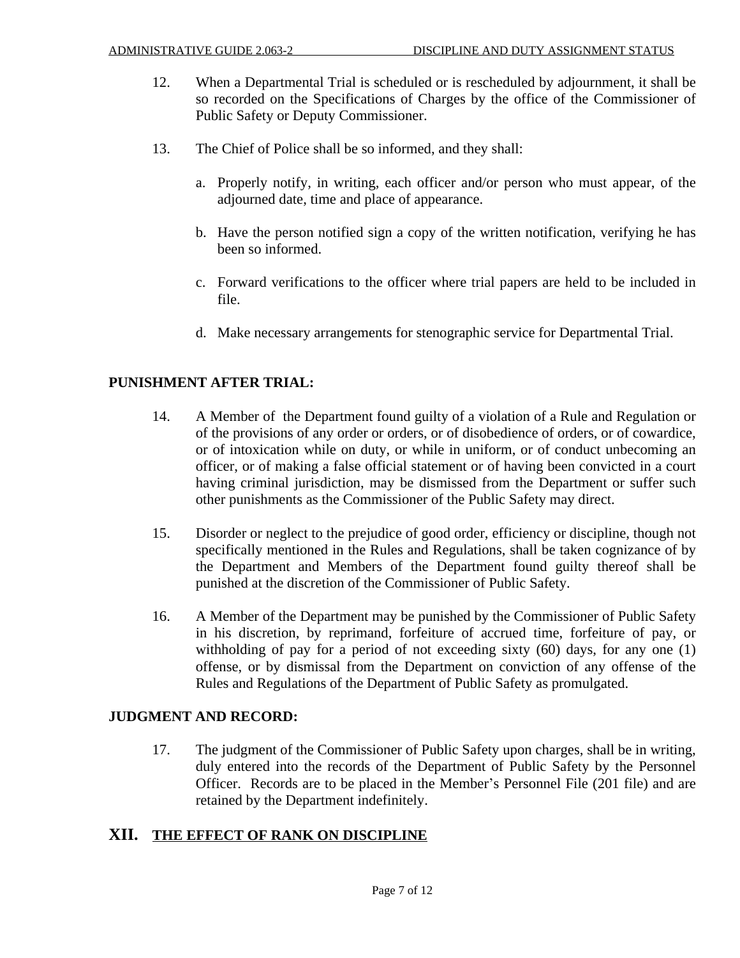- 12. When a Departmental Trial is scheduled or is rescheduled by adjournment, it shall be so recorded on the Specifications of Charges by the office of the Commissioner of Public Safety or Deputy Commissioner.
- 13. The Chief of Police shall be so informed, and they shall:
	- a. Properly notify, in writing, each officer and/or person who must appear, of the adjourned date, time and place of appearance.
	- b. Have the person notified sign a copy of the written notification, verifying he has been so informed.
	- c. Forward verifications to the officer where trial papers are held to be included in file.
	- d. Make necessary arrangements for stenographic service for Departmental Trial.

#### **PUNISHMENT AFTER TRIAL:**

- 14. A Member of the Department found guilty of a violation of a Rule and Regulation or of the provisions of any order or orders, or of disobedience of orders, or of cowardice, or of intoxication while on duty, or while in uniform, or of conduct unbecoming an officer, or of making a false official statement or of having been convicted in a court having criminal jurisdiction, may be dismissed from the Department or suffer such other punishments as the Commissioner of the Public Safety may direct.
- 15. Disorder or neglect to the prejudice of good order, efficiency or discipline, though not specifically mentioned in the Rules and Regulations, shall be taken cognizance of by the Department and Members of the Department found guilty thereof shall be punished at the discretion of the Commissioner of Public Safety.
- 16. A Member of the Department may be punished by the Commissioner of Public Safety in his discretion, by reprimand, forfeiture of accrued time, forfeiture of pay, or withholding of pay for a period of not exceeding sixty (60) days, for any one (1) offense, or by dismissal from the Department on conviction of any offense of the Rules and Regulations of the Department of Public Safety as promulgated.

#### **JUDGMENT AND RECORD:**

17. The judgment of the Commissioner of Public Safety upon charges, shall be in writing, duly entered into the records of the Department of Public Safety by the Personnel Officer. Records are to be placed in the Member's Personnel File (201 file) and are retained by the Department indefinitely.

#### **XII. THE EFFECT OF RANK ON DISCIPLINE**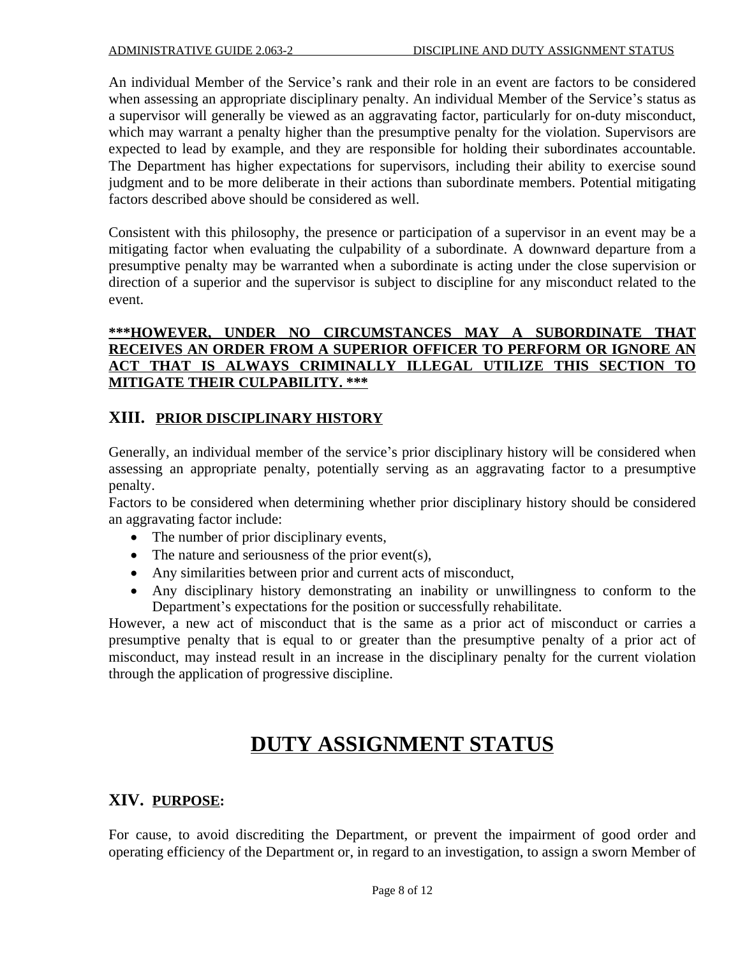An individual Member of the Service's rank and their role in an event are factors to be considered when assessing an appropriate disciplinary penalty. An individual Member of the Service's status as a supervisor will generally be viewed as an aggravating factor, particularly for on-duty misconduct, which may warrant a penalty higher than the presumptive penalty for the violation. Supervisors are expected to lead by example, and they are responsible for holding their subordinates accountable. The Department has higher expectations for supervisors, including their ability to exercise sound judgment and to be more deliberate in their actions than subordinate members. Potential mitigating factors described above should be considered as well.

Consistent with this philosophy, the presence or participation of a supervisor in an event may be a mitigating factor when evaluating the culpability of a subordinate. A downward departure from a presumptive penalty may be warranted when a subordinate is acting under the close supervision or direction of a superior and the supervisor is subject to discipline for any misconduct related to the event.

## **\*\*\*HOWEVER, UNDER NO CIRCUMSTANCES MAY A SUBORDINATE THAT RECEIVES AN ORDER FROM A SUPERIOR OFFICER TO PERFORM OR IGNORE AN ACT THAT IS ALWAYS CRIMINALLY ILLEGAL UTILIZE THIS SECTION TO MITIGATE THEIR CULPABILITY. \*\*\***

# **XIII. PRIOR DISCIPLINARY HISTORY**

Generally, an individual member of the service's prior disciplinary history will be considered when assessing an appropriate penalty, potentially serving as an aggravating factor to a presumptive penalty.

Factors to be considered when determining whether prior disciplinary history should be considered an aggravating factor include:

- The number of prior disciplinary events,
- $\bullet$  The nature and seriousness of the prior event(s),
- Any similarities between prior and current acts of misconduct,
- Any disciplinary history demonstrating an inability or unwillingness to conform to the Department's expectations for the position or successfully rehabilitate.

However, a new act of misconduct that is the same as a prior act of misconduct or carries a presumptive penalty that is equal to or greater than the presumptive penalty of a prior act of misconduct, may instead result in an increase in the disciplinary penalty for the current violation through the application of progressive discipline.

# **DUTY ASSIGNMENT STATUS**

# **XIV. PURPOSE:**

For cause, to avoid discrediting the Department, or prevent the impairment of good order and operating efficiency of the Department or, in regard to an investigation, to assign a sworn Member of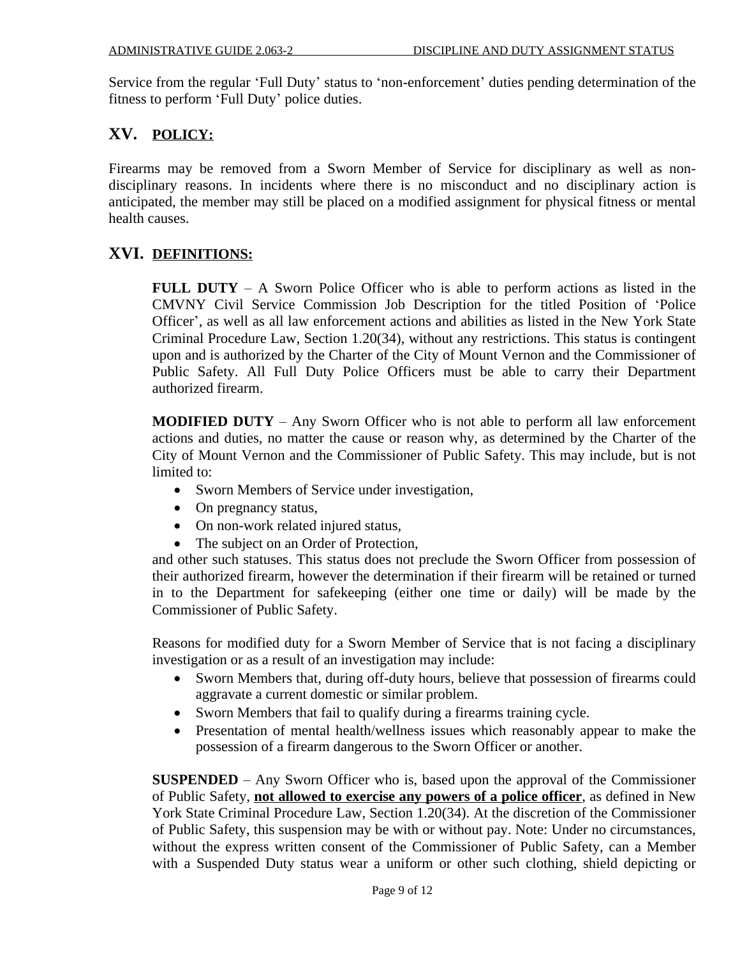Service from the regular 'Full Duty' status to 'non-enforcement' duties pending determination of the fitness to perform 'Full Duty' police duties.

# **XV. POLICY:**

Firearms may be removed from a Sworn Member of Service for disciplinary as well as nondisciplinary reasons. In incidents where there is no misconduct and no disciplinary action is anticipated, the member may still be placed on a modified assignment for physical fitness or mental health causes.

# **XVI. DEFINITIONS:**

**FULL DUTY** – A Sworn Police Officer who is able to perform actions as listed in the CMVNY Civil Service Commission Job Description for the titled Position of 'Police Officer', as well as all law enforcement actions and abilities as listed in the New York State Criminal Procedure Law, Section 1.20(34), without any restrictions. This status is contingent upon and is authorized by the Charter of the City of Mount Vernon and the Commissioner of Public Safety. All Full Duty Police Officers must be able to carry their Department authorized firearm.

**MODIFIED DUTY** – Any Sworn Officer who is not able to perform all law enforcement actions and duties, no matter the cause or reason why, as determined by the Charter of the City of Mount Vernon and the Commissioner of Public Safety. This may include, but is not limited to:

- Sworn Members of Service under investigation,
- On pregnancy status,
- On non-work related injured status,
- The subject on an Order of Protection,

and other such statuses. This status does not preclude the Sworn Officer from possession of their authorized firearm, however the determination if their firearm will be retained or turned in to the Department for safekeeping (either one time or daily) will be made by the Commissioner of Public Safety.

Reasons for modified duty for a Sworn Member of Service that is not facing a disciplinary investigation or as a result of an investigation may include:

- Sworn Members that, during off-duty hours, believe that possession of firearms could aggravate a current domestic or similar problem.
- Sworn Members that fail to qualify during a firearms training cycle.
- Presentation of mental health/wellness issues which reasonably appear to make the possession of a firearm dangerous to the Sworn Officer or another.

**SUSPENDED** – Any Sworn Officer who is, based upon the approval of the Commissioner of Public Safety, **not allowed to exercise any powers of a police officer**, as defined in New York State Criminal Procedure Law, Section 1.20(34). At the discretion of the Commissioner of Public Safety, this suspension may be with or without pay. Note: Under no circumstances, without the express written consent of the Commissioner of Public Safety, can a Member with a Suspended Duty status wear a uniform or other such clothing, shield depicting or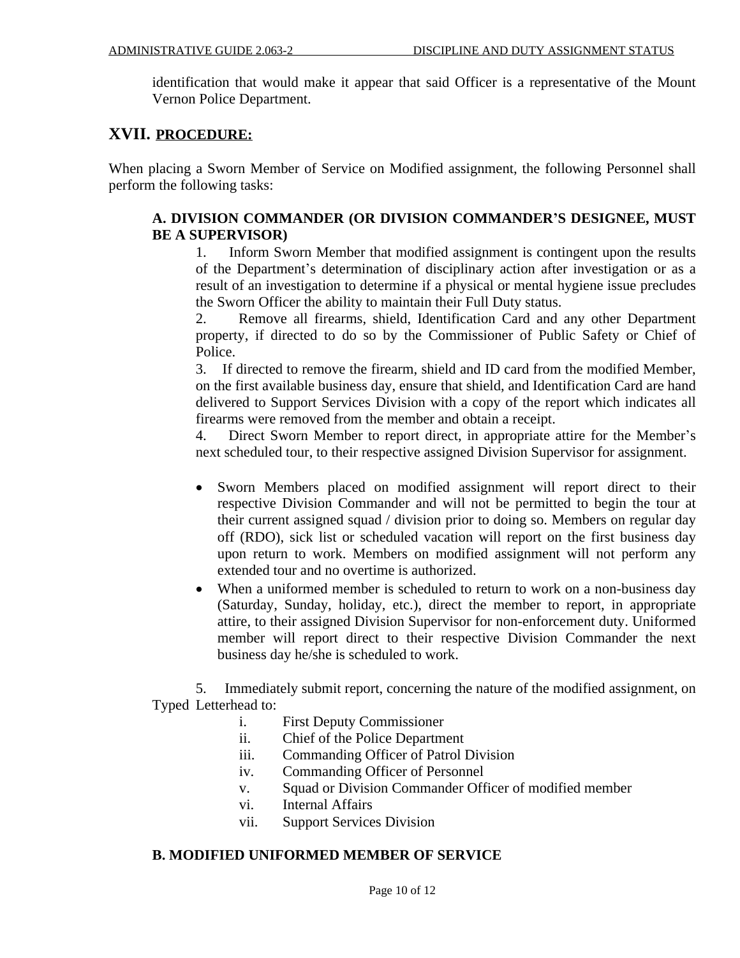identification that would make it appear that said Officer is a representative of the Mount Vernon Police Department.

# **XVII. PROCEDURE:**

When placing a Sworn Member of Service on Modified assignment, the following Personnel shall perform the following tasks:

#### **A. DIVISION COMMANDER (OR DIVISION COMMANDER'S DESIGNEE, MUST BE A SUPERVISOR)**

1. Inform Sworn Member that modified assignment is contingent upon the results of the Department's determination of disciplinary action after investigation or as a result of an investigation to determine if a physical or mental hygiene issue precludes the Sworn Officer the ability to maintain their Full Duty status.

2. Remove all firearms, shield, Identification Card and any other Department property, if directed to do so by the Commissioner of Public Safety or Chief of Police.

3. If directed to remove the firearm, shield and ID card from the modified Member, on the first available business day, ensure that shield, and Identification Card are hand delivered to Support Services Division with a copy of the report which indicates all firearms were removed from the member and obtain a receipt.

4. Direct Sworn Member to report direct, in appropriate attire for the Member's next scheduled tour, to their respective assigned Division Supervisor for assignment.

- Sworn Members placed on modified assignment will report direct to their respective Division Commander and will not be permitted to begin the tour at their current assigned squad / division prior to doing so. Members on regular day off (RDO), sick list or scheduled vacation will report on the first business day upon return to work. Members on modified assignment will not perform any extended tour and no overtime is authorized.
- When a uniformed member is scheduled to return to work on a non-business day (Saturday, Sunday, holiday, etc.), direct the member to report, in appropriate attire, to their assigned Division Supervisor for non-enforcement duty. Uniformed member will report direct to their respective Division Commander the next business day he/she is scheduled to work.

5. Immediately submit report, concerning the nature of the modified assignment, on Typed Letterhead to:

- i. First Deputy Commissioner
- ii. Chief of the Police Department
- iii. Commanding Officer of Patrol Division
- iv. Commanding Officer of Personnel
- v. Squad or Division Commander Officer of modified member
- vi. Internal Affairs
- vii. Support Services Division

## **B. MODIFIED UNIFORMED MEMBER OF SERVICE**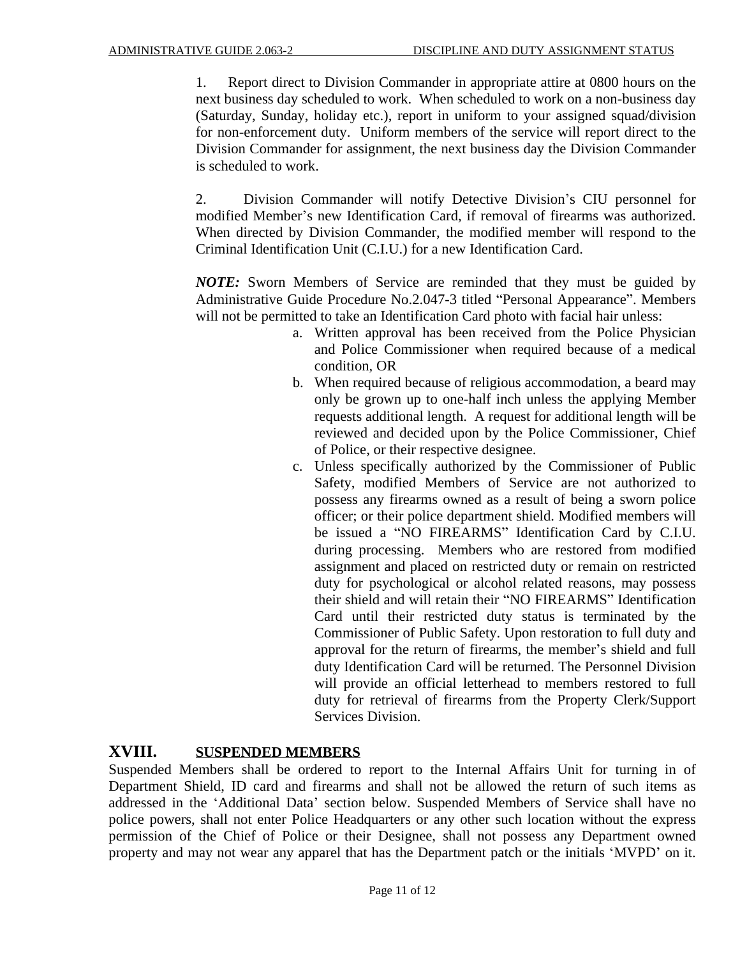1. Report direct to Division Commander in appropriate attire at 0800 hours on the next business day scheduled to work. When scheduled to work on a non-business day (Saturday, Sunday, holiday etc.), report in uniform to your assigned squad/division for non-enforcement duty. Uniform members of the service will report direct to the Division Commander for assignment, the next business day the Division Commander is scheduled to work.

2. Division Commander will notify Detective Division's CIU personnel for modified Member's new Identification Card, if removal of firearms was authorized. When directed by Division Commander, the modified member will respond to the Criminal Identification Unit (C.I.U.) for a new Identification Card.

*NOTE:* Sworn Members of Service are reminded that they must be guided by Administrative Guide Procedure No.2.047-3 titled "Personal Appearance". Members will not be permitted to take an Identification Card photo with facial hair unless:

- a. Written approval has been received from the Police Physician and Police Commissioner when required because of a medical condition, OR
- b. When required because of religious accommodation, a beard may only be grown up to one-half inch unless the applying Member requests additional length. A request for additional length will be reviewed and decided upon by the Police Commissioner, Chief of Police, or their respective designee.
- c. Unless specifically authorized by the Commissioner of Public Safety, modified Members of Service are not authorized to possess any firearms owned as a result of being a sworn police officer; or their police department shield. Modified members will be issued a "NO FIREARMS" Identification Card by C.I.U. during processing. Members who are restored from modified assignment and placed on restricted duty or remain on restricted duty for psychological or alcohol related reasons, may possess their shield and will retain their "NO FIREARMS" Identification Card until their restricted duty status is terminated by the Commissioner of Public Safety. Upon restoration to full duty and approval for the return of firearms, the member's shield and full duty Identification Card will be returned. The Personnel Division will provide an official letterhead to members restored to full duty for retrieval of firearms from the Property Clerk/Support Services Division.

### **XVIII. SUSPENDED MEMBERS**

Suspended Members shall be ordered to report to the Internal Affairs Unit for turning in of Department Shield, ID card and firearms and shall not be allowed the return of such items as addressed in the 'Additional Data' section below. Suspended Members of Service shall have no police powers, shall not enter Police Headquarters or any other such location without the express permission of the Chief of Police or their Designee, shall not possess any Department owned property and may not wear any apparel that has the Department patch or the initials 'MVPD' on it.